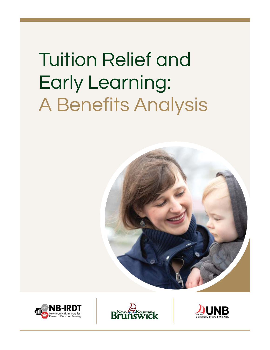# Tuition Relief and Early Learning: A Benefits Analysis







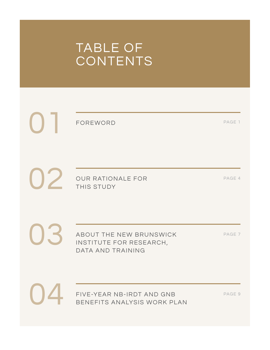### TABLE OF **CONTENTS**

FOREWORD

PAGE 1

02 OUR RATIONALE FOR THIS STUDY

PAGE 4

ABOUT THE NEW BRUNSWICK INSTITUTE FOR RESEARCH, DATA AND TRAINING

PAGE 7

04

03

01

FIVE-YEAR NB-IRDT AND GNB BENEFITS ANALYSIS WORK PLAN

PAGE 9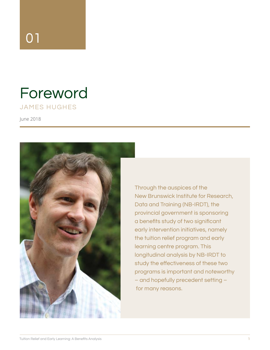## 01

### Foreword JAMES HUGHES

June 2018



Through the auspices of the New Brunswick Institute for Research, Data and Training (NB-IRDT), the provincial government is sponsoring a benefits study of two significant early intervention initiatives, namely the tuition relief program and early learning centre program. This longitudinal analysis by NB-IRDT to study the effectiveness of these two programs is important and noteworthy – and hopefully precedent setting – for many reasons.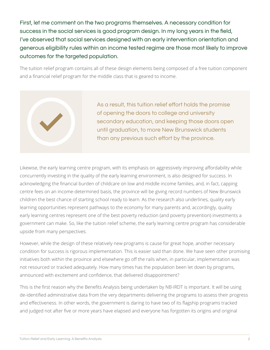First, let me comment on the two programs themselves. A necessary condition for success in the social services is good program design. In my long years in the field, I've observed that social services designed with an early intervention orientation and generous eligibility rules within an income tested regime are those most likely to improve outcomes for the targeted population.

The tuition relief program contains all of these design elements being composed of a free tuition component and a financial relief program for the middle class that is geared to income.



As a result, this tuition relief effort holds the promise of opening the doors to college and university secondary education, and keeping those doors open until graduation, to more New Brunswick students than any previous such effort by the province.

Likewise, the early learning centre program, with its emphasis on aggressively improving affordability while concurrently investing in the quality of the early learning environment, is also designed for success. In acknowledging the financial burden of childcare on low and middle income families, and, in fact, capping centre fees on an income-determined basis, the province will be giving record numbers of New Brunswick children the best chance of starting school ready to learn. As the research also underlines, quality early learning opportunities represent pathways to the economy for many parents and, accordingly, quality early learning centres represent one of the best poverty reduction (and poverty prevention) investments a government can make. So, like the tuition relief scheme, the early learning centre program has considerable upside from many perspectives.

However, while the design of these relatively new programs is cause for great hope, another necessary condition for success is rigorous implementation. This is easier said than done. We have seen other promising initiatives both within the province and elsewhere go off the rails when, in particular, implementation was not resourced or tracked adequately. How many times has the population been let down by programs, announced with excitement and confidence, that delivered disappointment?

This is the first reason why the Benefits Analysis being undertaken by NB-IRDT is important. It will be using de-identified administrative data from the very departments delivering the programs to assess their progress and effectiveness. In other words, the government is daring to have two of its flagship programs tracked and judged not after five or more years have elapsed and everyone has forgotten its origins and original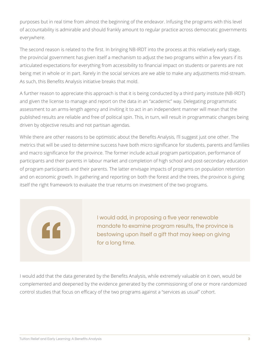purposes but in real time from almost the beginning of the endeavor. Infusing the programs with this level of accountability is admirable and should frankly amount to regular practice across democratic governments everywhere.

The second reason is related to the first. In bringing NB-IRDT into the process at this relatively early stage, the provincial government has given itself a mechanism to adjust the two programs within a few years if its articulated expectations for everything from accessibility to financial impact on students or parents are not being met in whole or in part. Rarely in the social services are we able to make any adjustments mid-stream. As such, this Benefits Analysis initiative breaks that mold.

A further reason to appreciate this approach is that it is being conducted by a third party institute (NB-IRDT) and given the license to manage and report on the data in an "academic" way. Delegating programmatic assessment to an arms-length agency and inviting it to act in an independent manner will mean that the published results are reliable and free of political spin. This, in turn, will result in programmatic changes being driven by objective results and not partisan agendas.

While there are other reasons to be optimistic about the Benefits Analysis, I'll suggest just one other. The metrics that will be used to determine success have both micro significance for students, parents and families and macro significance for the province. The former include actual program participation, performance of participants and their parents in labour market and completion of high school and post-secondary education of program participants and their parents. The latter envisage impacts of programs on population retention and on economic growth. In gathering and reporting on both the forest and the trees, the province is giving itself the right framework to evaluate the true returns on investment of the two programs.

> I would add, in proposing a five year renewable mandate to examine program results, the province is bestowing upon itself a gift that may keep on giving for a long time.

I would add that the data generated by the Benefits Analysis, while extremely valuable on it own, would be complemented and deepened by the evidence generated by the commissioning of one or more randomized control studies that focus on efficacy of the two programs against a "services as usual" cohort.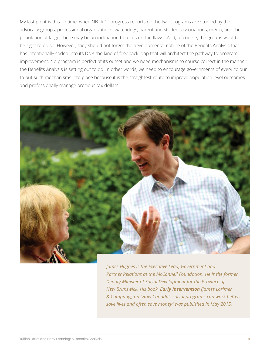My last point is this. In time, when NB-IRDT progress reports on the two programs are studied by the advocacy groups, professional organizations, watchdogs, parent and student associations, media, and the population at large, there may be an inclination to focus on the flaws. And, of course, the groups would be right to do so. However, they should not forget the developmental nature of the Benefits Analysis that has intentionally coded into its DNA the kind of feedback loop that will architect the pathway to program improvement. No program is perfect at its outset and we need mechanisms to course correct in the manner the Benefits Analysis is setting out to do. In other words, we need to encourage governments of every colour to put such mechanisms into place because it is the straightest route to improve population level outcomes and professionally manage precious tax dollars.



*James Hughes is the Executive Lead, Government and Partner Relations at the McConnell Foundation. He is the former Deputy Minister of Social Development for the Province of New Brunswick. His book, Early Intervention (James Lorimer & Company), on "How Canada's social programs can work better, save lives and often save money" was published in May 2015.*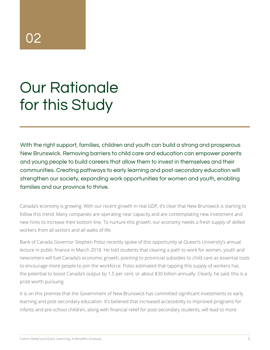# Our Rationale for this Study

With the right support, families, children and youth can build a strong and prosperous New Brunswick. Removing barriers to child care and education can empower parents and young people to build careers that allow them to invest in themselves and their communities. Creating pathways to early learning and post-secondary education will strengthen our society, expanding work opportunities for women and youth, enabling families and our province to thrive.

Canada's economy is growing. With our recent growth in real GDP, it's clear that New Brunswick is starting to follow this trend. Many companies are operating near capacity and are contemplating new investment and new hires to increase their bottom line. To nurture this growth, our economy needs a fresh supply of skilled workers from all sectors and all walks of life.

Bank of Canada Governor Stephen Poloz recently spoke of this opportunity at Queen's University's annual lecture in public finance in March 2018. He told students that clearing a path to work for women, youth and newcomers will fuel Canada's economic growth, pointing to provincial subsidies to child care as essential tools to encourage more people to join the workforce. Poloz estimated that tapping this supply of workers has the potential to boost Canada's output by 1.5 per cent, or about \$30 billion annually. Clearly, he said, this is a prize worth pursuing.

It is on this premise that the Government of New Brunswick has committed significant investments to early learning and post-secondary education. It's believed that increased accessibility to improved programs for infants and pre-school children, along with financial relief for post-secondary students, will lead to more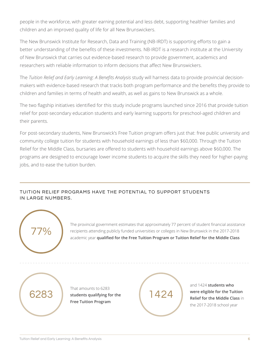people in the workforce, with greater earning potential and less debt, supporting healthier families and children and an improved quality of life for all New Brunswickers.

The New Brunswick Institute for Research, Data and Training (NB-IRDT) is supporting efforts to gain a better understanding of the benefits of these investments. NB-IRDT is a research institute at the University of New Brunswick that carries out evidence-based research to provide government, academics and researchers with reliable information to inform decisions that affect New Brunswickers.

The *Tuition Relief and Early Learning: A Benefits Analysis* study will harness data to provide provincial decisionmakers with evidence-based research that tracks both program performance and the benefits they provide to children and families in terms of health and wealth, as well as gains to New Brunswick as a whole.

The two flagship initiatives identified for this study include programs launched since 2016 that provide tuition relief for post-secondary education students and early learning supports for preschool-aged children and their parents.

For post-secondary students, New Brunswick's Free Tuition program offers just that: free public university and community college tuition for students with household earnings of less than \$60,000. Through the Tuition Relief for the Middle Class, bursaries are offered to students with household earnings above \$60,000. The programs are designed to encourage lower income students to acquire the skills they need for higher-paying jobs, and to ease the tuition burden.

### TUITION RELIEF PROGRAMS HAVE THE POTENTIAL TO SUPPORT STUDENTS IN LARGE NUMBERS.



The provincial government estimates that approximately 77 percent of student financial assistance recipients attending publicly funded universities or colleges in New Brunswick in the 2017-2018 academic year **qualified for the Free Tuition Program or Tuition Relief for the Middle Class**

6283

That amounts to 6283 **students qualifying for the Free Tuition Program**

1424

and 1424 **students who were eligible for the Tuition Relief for the Middle Class** in the 2017-2018 school year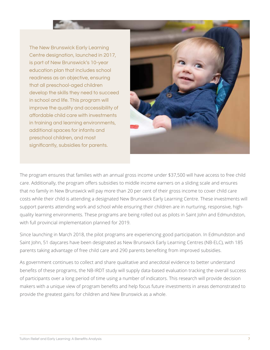The New Brunswick Early Learning Centre designation, launched in 2017, is part of New Brunswick's 10-year education plan that includes school readiness as an objective, ensuring that all preschool-aged children develop the skills they need to succeed in school and life. This program will improve the quality and accessibility of affordable child care with investments in training and learning environments, additional spaces for infants and preschool children, and most significantly, subsidies for parents.



The program ensures that families with an annual gross income under \$37,500 will have access to free child care. Additionally, the program offers subsidies to middle income earners on a sliding scale and ensures that no family in New Brunswick will pay more than 20 per cent of their gross income to cover child care costs while their child is attending a designated New Brunswick Early Learning Centre. These investments will support parents attending work and school while ensuring their children are in nurturing, responsive, highquality learning environments. These programs are being rolled out as pilots in Saint John and Edmundston, with full provincial implementation planned for 2019.

Since launching in March 2018, the pilot programs are experiencing good participation. In Edmundston and Saint John, 51 daycares have been designated as New Brunswick Early Learning Centres (NB-ELC), with 185 parents taking advantage of free child care and 290 parents benefiting from improved subsidies.

As government continues to collect and share qualitative and anecdotal evidence to better understand benefits of these programs, the NB-IRDT study will supply data-based evaluation tracking the overall success of participants over a long period of time using a number of indicators. This research will provide decision makers with a unique view of program benefits and help focus future investments in areas demonstrated to provide the greatest gains for children and New Brunswick as a whole.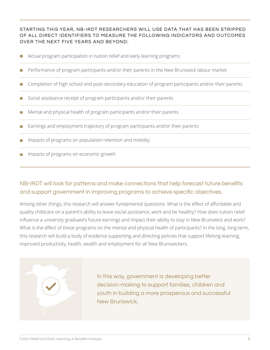### STARTING THIS YEAR, NB-IRDT RESEARCHERS WILL USE DATA THAT HAS BEEN STRIPPED OF ALL DIRECT IDENTIFIERS TO MEASURE THE FOLLOWING INDICATORS AND OUTCOMES OVER THE NEXT FIVE YEARS AND BEYOND:

- Actual program participation in tuition relief and early learning programs
- Performance of program participants and/or their parents in the New Brunswick labour market m.
- Completion of high school and post-secondary education of program participants and/or their parents
- Social assistance receipt of program participants and/or their parents
- Mental and physical health of program participants and/or their parents
- Earnings and employment trajectory of program participants and/or their parents
- Impacts of programs on population retention and mobility
- Impacts of programs on economic growth

### NB-IRDT will look for patterns and make connections that help forecast future benefits and support government in improving programs to achieve specific objectives.

Among other things, this research will answer fundamental questions. What is the effect of affordable and quality childcare on a parent's ability to leave social assistance, work and be healthy? How does tuition relief influence a university graduate's future earnings and impact their ability to stay in New Brunswick and work? What is the effect of these programs on the mental and physical health of participants? In the long, long-term, this research will build a body of evidence supporting and directing policies that support lifelong learning, improved productivity, health, wealth and employment for all New Brunswickers.

In this way, government is developing better decision-making to support families, children and youth in building a more prosperous and successful New Brunswick.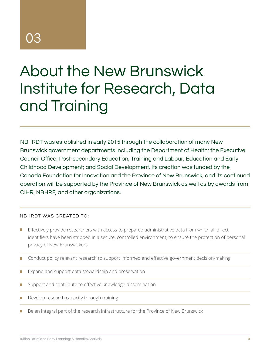### 03

# About the New Brunswick Institute for Research, Data and Training

NB-IRDT was established in early 2015 through the collaboration of many New Brunswick government departments including the Department of Health; the Executive Council Office; Post-secondary Education, Training and Labour; Education and Early Childhood Development; and Social Development. Its creation was funded by the Canada Foundation for Innovation and the Province of New Brunswick, and its continued operation will be supported by the Province of New Brunswick as well as by awards from CIHR, NBHRF, and other organizations.

#### NB-IRDT WAS CREATED TO:

- Effectively provide researchers with access to prepared administrative data from which all direct identifiers have been stripped in a secure, controlled environment, to ensure the protection of personal privacy of New Brunswickers
- Conduct policy relevant research to support informed and effective government decision-making m.
- Expand and support data stewardship and preservation
- Support and contribute to effective knowledge dissemination
- Develop research capacity through training
- Be an integral part of the research infrastructure for the Province of New Brunswick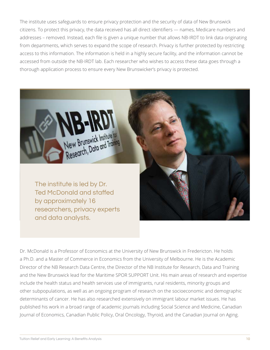The institute uses safeguards to ensure privacy protection and the security of data of New Brunswick citizens. To protect this privacy, the data received has all direct identifiers — names, Medicare numbers and addresses – removed. Instead, each file is given a unique number that allows NB-IRDT to link data originating from departments, which serves to expand the scope of research. Privacy is further protected by restricting access to this information. The information is held in a highly secure facility, and the information cannot be accessed from outside the NB-IRDT lab. Each researcher who wishes to access these data goes through a thorough application process to ensure every New Brunswicker's privacy is protected.



Dr. McDonald is a Professor of Economics at the University of New Brunswick in Fredericton. He holds a Ph.D. and a Master of Commerce in Economics from the University of Melbourne. He is the Academic Director of the NB Research Data Centre, the Director of the NB Institute for Research, Data and Training and the New Brunswick lead for the Maritime SPOR SUPPORT Unit. His main areas of research and expertise include the health status and health services use of immigrants, rural residents, minority groups and other subpopulations, as well as an ongoing program of research on the socioeconomic and demographic determinants of cancer. He has also researched extensively on immigrant labour market issues. He has published his work in a broad range of academic journals including Social Science and Medicine, Canadian Journal of Economics, Canadian Public Policy, Oral Oncology, Thyroid, and the Canadian Journal on Aging.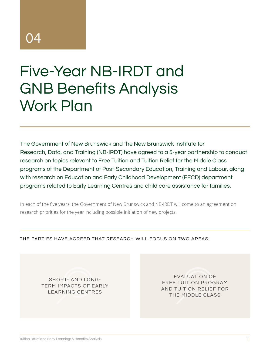### 04

## Five-Year NB-IRDT and GNB Benefits Analysis Work Plan

The Government of New Brunswick and the New Brunswick Institute for Research, Data, and Training (NB-IRDT) have agreed to a 5-year partnership to conduct research on topics relevant to Free Tuition and Tuition Relief for the Middle Class programs of the Department of Post-Secondary Education, Training and Labour, along with research on Education and Early Childhood Development (EECD) department programs related to Early Learning Centres and child care assistance for families.

In each of the five years, the Government of New Brunswick and NB-IRDT will come to an agreement on research priorities for the year including possible initiation of new projects.

THE PARTIES HAVE AGREED THAT RESEARCH WILL FOCUS ON TWO AREAS:

SHORT- AND LONG-TERM IMPACTS OF EARLY LEARNING CENTRES

EVALUATION OF FREE TUITION PROGRAM AND TUITION RELIEF FOR THE MIDDLE CLASS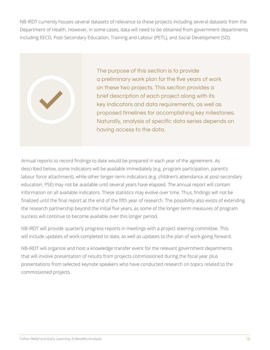NB-IRDT currently houses several datasets of relevance to these projects including several datasets from the Department of Health. However, in some cases, data will need to be obtained from government departments including EECD, Post-Secondary Education, Training and Labour (PETL), and Social Development (SD).



The purpose of this section is to provide a preliminary work plan for the five years of work on these two projects. This section provides a brief description of each project along with its key indicators and data requirements, as well as proposed timelines for accomplishing key milestones. Naturally, analysis of specific data series depends on having access to the data.

Annual reports to record findings to date would be prepared in each year of the agreement. As described below, some indicators will be available immediately (e.g. program participation, parent's labour force attachment), while other longer-term indicators (e.g. children's attendance at post-secondary education, PSE) may not be available until several years have elapsed. The annual report will contain information on all available indicators. These statistics may evolve over time. Thus, findings will not be finalized until the final report at the end of the fifth year of research. The possibility also exists of extending the research partnership beyond the initial five years, as some of the longer-term measures of program success will continue to become available over this longer period.

NB-IRDT will provide quarterly progress reports in meetings with a project steering committee. This will include updates of work completed to date, as well as updates to the plan of work going forward.

NB-IRDT will organize and host a knowledge transfer event for the relevant government departments that will involve presentation of results from projects commissioned during the fiscal year plus presentations from selected keynote speakers who have conducted research on topics related to the commissioned projects.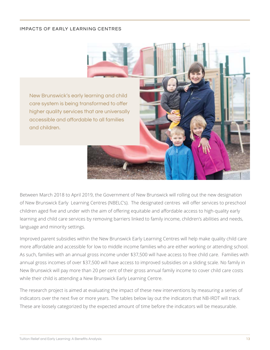#### IMPACTS OF EARLY LEARNING CENTRES



Between March 2018 to April 2019, the Government of New Brunswick will rolling out the new designation of New Brunswick Early Learning Centres (NBELC's). The designated centres will offer services to preschool children aged five and under with the aim of offering equitable and affordable access to high-quality early learning and child care services by removing barriers linked to family income, children's abilities and needs, language and minority settings.

Improved parent subsidies within the New Brunswick Early Learning Centres will help make quality child care more affordable and accessible for low to middle income families who are either working or attending school. As such, families with an annual gross income under \$37,500 will have access to free child care. Families with annual gross incomes of over \$37,500 will have access to improved subsidies on a sliding scale. No family in New Brunswick will pay more than 20 per cent of their gross annual family income to cover child care costs while their child is attending a New Brunswick Early Learning Centre.

The research project is aimed at evaluating the impact of these new interventions by measuring a series of indicators over the next five or more years. The tables below lay out the indicators that NB-IRDT will track. These are loosely categorized by the expected amount of time before the indicators will be measurable.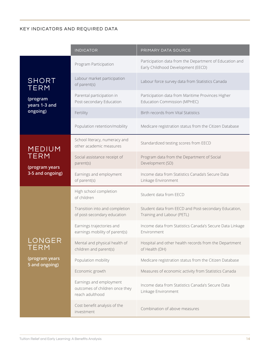### KEY INDICATORS AND REQUIRED DATA

|                                  | <b>INDICATOR</b>                                                             | PRIMARY DATA SOURCE                                                                           |  |  |  |
|----------------------------------|------------------------------------------------------------------------------|-----------------------------------------------------------------------------------------------|--|--|--|
|                                  | Program Participation                                                        | Participation data from the Department of Education and<br>Early Childhood Development (EECD) |  |  |  |
| <b>SHORT</b><br><b>TERM</b>      | Labour market participation<br>of parent(s)                                  | Labour force survey data from Statistics Canada                                               |  |  |  |
| (program<br>years 1-3 and        | Parental participation in<br>Post-secondary Education                        | Participation data from Maritime Provinces Higher<br>Education Commission (MPHEC)             |  |  |  |
| ongoing)                         | Fertility                                                                    | <b>Birth records from Vital Statistics</b>                                                    |  |  |  |
|                                  | Population retention/mobility                                                | Medicare registration status from the Citizen Database                                        |  |  |  |
| <b>MEDIUM</b>                    | School literacy, numeracy and<br>other academic measures                     | Standardized testing scores from EECD                                                         |  |  |  |
| <b>TERM</b><br>(program years    | Social assistance receipt of<br>parent(s)                                    | Program data from the Department of Social<br>Development (SD)                                |  |  |  |
| 3-5 and ongoing)                 | Earnings and employment<br>of parent(s)                                      | Income data from Statistics Canada's Secure Data<br>Linkage Environment                       |  |  |  |
|                                  | High school completion<br>of children                                        | Student data from EECD                                                                        |  |  |  |
|                                  | Transition into and completion<br>of post-secondary education                | Student data from EECD and Post-secondary Education,<br>Training and Labour (PETL)            |  |  |  |
|                                  | Earnings trajectories and<br>earnings mobility of parent(s)                  | Income data from Statistics Canada's Secure Data Linkage<br>Environment                       |  |  |  |
| NGER<br><b>TERM</b>              | Mental and physical health of<br>children and parent(s)                      | Hospital and other health records from the Department<br>of Health (DH)                       |  |  |  |
| (program years<br>5 and ongoing) | Population mobility                                                          | Medicare registration status from the Citizen Database                                        |  |  |  |
|                                  | Economic growth                                                              | Measures of economic activity from Statistics Canada                                          |  |  |  |
|                                  | Earnings and employment<br>outcomes of children once they<br>reach adulthood | Income data from Statistics Canada's Secure Data<br>Linkage Environment                       |  |  |  |
|                                  | Cost benefit analysis of the<br>investment                                   | Combination of above measures                                                                 |  |  |  |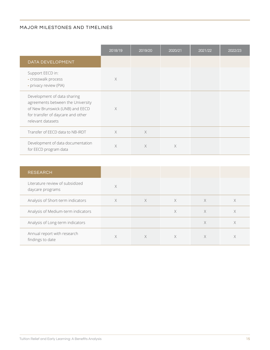#### MAJOR MILESTONES AND TIMELINES

|                                                                                                                                                               | 2018/19  | 2019/20  | 2020/21 | 2021/22 | 2022/23 |
|---------------------------------------------------------------------------------------------------------------------------------------------------------------|----------|----------|---------|---------|---------|
| DATA DEVELOPMENT                                                                                                                                              |          |          |         |         |         |
| Support EECD in:<br>- crosswalk process<br>- privacy review (PIA)                                                                                             | $\times$ |          |         |         |         |
| Development of data sharing<br>agreements between the University<br>of New Brunswick (UNB) and EECD<br>for transfer of daycare and other<br>relevant datasets | $\times$ |          |         |         |         |
| Transfer of EECD data to NB-IRDT                                                                                                                              | $\times$ | $\times$ |         |         |         |
| Development of data documentation<br>for EECD program data                                                                                                    | X        | $\times$ | X       |         |         |

| <b>RESEARCH</b>                                     |   |          |   |   |   |
|-----------------------------------------------------|---|----------|---|---|---|
| Literature review of subsidized<br>daycare programs | X |          |   |   |   |
| Analysis of Short-term indicators                   | X | $\times$ | X | X |   |
| Analysis of Medium-term indicators                  |   |          | X | X | X |
| Analysis of Long-term indicators                    |   |          |   | X | X |
| Annual report with research<br>findings to date     | Χ | X        | Χ | X |   |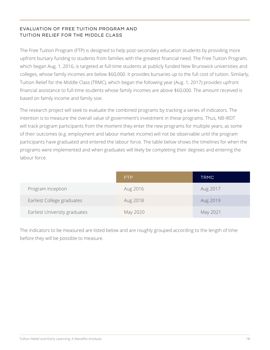### EVALUATION OF FREE TUITION PROGRAM AND TUITION RELIEF FOR THE MIDDLE CLASS

The Free Tuition Program (FTP) is designed to help post-secondary education students by providing more upfront bursary funding to students from families with the greatest financial need. The Free Tuition Program, which began Aug. 1, 2016, is targeted at full-time students at publicly funded New Brunswick universities and colleges, whose family incomes are below \$60,000. It provides bursaries up to the full cost of tuition. Similarly, Tuition Relief for the Middle Class (TRMC), which began the following year (Aug. 1, 2017) provides upfront financial assistance to full-time students whose family incomes are above \$60,000. The amount received is based on family income and family size.

The research project will seek to evaluate the combined programs by tracking a series of indicators. The intention is to measure the overall value of government's investment in these programs. Thus, NB-IRDT will track program participants from the moment they enter the new programs for multiple years, as some of their outcomes (e.g. employment and labour market income) will not be observable until the program participants have graduated and entered the labour force. The table below shows the timelines for when the programs were implemented and when graduates will likely be completing their degrees and entering the labour force.

|                               | <b>FTP</b> | <b>TRMC</b> |
|-------------------------------|------------|-------------|
| Program Inception             | Aug 2016   | Aug 2017    |
| Earliest College graduates    | Aug 2018   | Aug 2019    |
| Earliest University graduates | May 2020   | May 2021    |

The indicators to be measured are listed below and are roughly grouped according to the length of time before they will be possible to measure.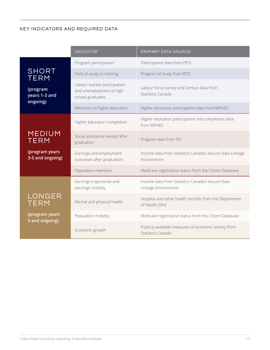### KEY INDICATORS AND REQUIRED DATA

|                                                           | <b>INDICATOR</b>                                                            | PRIMARY DATA SOURCE                                                        |  |  |
|-----------------------------------------------------------|-----------------------------------------------------------------------------|----------------------------------------------------------------------------|--|--|
|                                                           | Program participation                                                       | Participation data from PETL                                               |  |  |
| <b>SHORT</b><br><b>TERM</b>                               | Field of study or training                                                  | Program of study from PETL                                                 |  |  |
| (program<br>years 1-3 and<br>ongoing)                     | Labour market participation<br>and unemployment of high<br>school graduates | Labour force survey and Census data from<br>Statistics Canada              |  |  |
|                                                           | Retention in higher education                                               | Higher education participation data from MPHEC                             |  |  |
|                                                           | Higher education completion                                                 | Higher education participation and completion data<br>from MPHEC           |  |  |
| <b>MEDIUM</b><br>TERM                                     | Social assistance receipt after<br>graduation                               | Program data from SD                                                       |  |  |
| (program years<br>3-5 and ongoing)                        | Earnings and employment<br>outcomes after graduation                        | Income data from Statistics Canada's Secure Data Linkage<br>Environment    |  |  |
|                                                           | Population retention                                                        | Medicare registration status from the Citizen Database                     |  |  |
|                                                           | Earnings trajectories and<br>earnings mobility                              | Income data from Statistics Canada's Secure Data<br>Linkage Environment    |  |  |
| LONGER<br><b>TERM</b><br>(program years<br>5 and ongoing) | Mental and physical health                                                  | Hospital and other health records from the Department<br>of Health (DH)    |  |  |
|                                                           | Population mobility                                                         | Medicare registration status from the Citizen Database                     |  |  |
|                                                           | Economic growth                                                             | Publicly available measures of economic activity from<br>Statistics Canada |  |  |